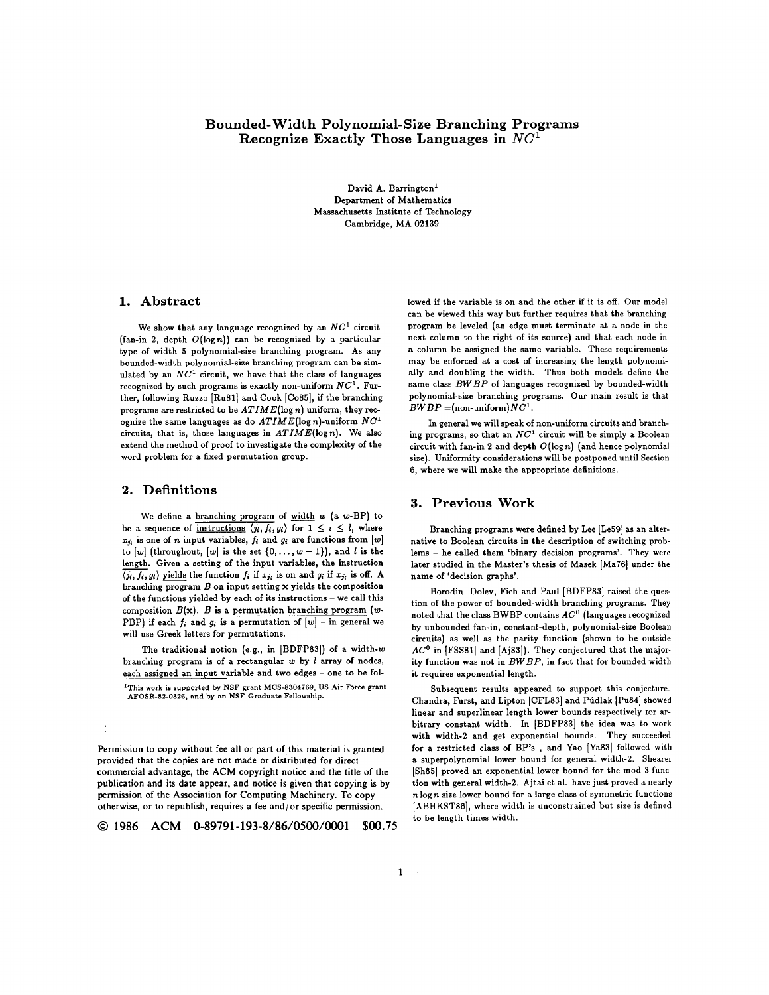# Bounded-Width Polynomial-Size Branching Programs Recognize Exactly Those Languages in  $NC<sup>1</sup>$

David A. Barrington<sup>1</sup> Department of Mathematics Massachusetts Institute of Technology Cambridge, MA 02139

# 1. **Abstract**

We show that any language recognized by an  $NC^1$  circuit (fan-in 2, depth  $O(\log n)$ ) can be recognized by a particular type of width 5 polynomial-size branching program. As any bounded-width polynomial-size branching program can be simulated by an  $NC<sup>1</sup>$  circuit, we have that the class of languages recognized by such programs is exactly non-uniform *NC 1 . Fur*ther, following Ruzzo [Ru81] and Cook [Co85], if the branching programs are restricted to be *AT I M E(l o g n)* uniform, they recognize the same languages as do  $ATIME(\log n)$ -uniform  $NC<sup>1</sup>$ circuits, that is, those languages in  $ATIME(\log n)$ . We also extend the method of proof to investigate the complexity of the word problem for a fixed permutation group.

# **2. De finiti ons**

We define a branching program of  $width w (a w-BP)$  to be a sequence of instructions  $\langle j_i, f_i, g_i \rangle$  for  $1 \leq i \leq l$ , where  $x_{j_i}$  is one of n input variables,  $f_i$  and  $g_i$  are functions from  $[w]$ to  $[w]$  (throughout,  $[w]$  is the set  $\{0, \ldots, w-1\}$ ), and  $l$  is the length. Given a setting of the input variables, the instruction  $\overline{\langle j_i, f_i, g_i \rangle}$  yields the function  $f_i$  if  $x_{j_i}$  is on and  $g_i$  if  $x_{j_i}$  is off. A branching program  $B$  on input setting  $x$  yields the composition of the functions yielded by each of its instructions - we call this composition  $B(x)$ . B is a permutation branching program (w-PBP) if each  $f_i$  and  $g_i$  is a permutation of  $[w]$  - in general we will use Greek letters for permutations.

The traditional notion (e.g., in [BDFP83]) of a width- $w$ branching program is of a rectangular  $w$  by  $l$  array of nodes, each assigned an input variable and two edges - one to be fol-<sup>1</sup>This work is supported by NSF grant MCS-8304769, US Air Force grant AFOSR-82-0326, and by an NSF Graduate Fellowship.

Permission to copy without fee all or part of this material is granted provided that the copies are not made or distributed for direct commercial advantage, the ACM copyright notice and the title of the publication and its date appear, and notice is given that copying is by permission of the Association for Computing Machinery. To copy otherwise, or to republish, requires a fee and/or specific permission.

**© 1986 ACM 0-89791-193-8/86/0500/0001 \$00.75**

lowed if the variable is on and the other if it is off. Our model can be viewed this way but further requires that the branching program be leveled (an edge must terminate at a node in the next column to the right of its source) and that each node in a column be assigned the same variable. These requirements may be enforced at a cost of increasing the length polynomially and doubling the width. Thus both models define the same class *BW BP* of languages recognized by bounded-width polynomial-size branching programs. Our main result is that  $BWBP = (non-uniform)NC<sup>1</sup>$ .

In general we will speak of non-uniform circuits and branching programs, so that an  $NC<sup>1</sup>$  circuit will be simply a Boolean circuit with fan-in 2 and depth  $O(\log n)$  (and hence polynomial size). Uniformity considerations will be postponed until Section 6, where we will make the appropriate definitions.

### **3. Pr e v i ou s Work**

Branching programs were defined by Lee [Le59] as an alternative to Boolean circuits in the description of switching problems - he called them 'binary decision programs'. They were later studied in the Master's thesis of Masek [Ma76] under the name of 'decision graphs'.

Borodin, Doley, Fich and Paul [BDFP83] raised the question of the power of bounded-width branching programs. They noted that the class BWBP contains  $AC^0$  (languages recognized by unbounded fan-in, constant-depth, polynomial-size Boolean circuits) as well as the parity function (shown to be outside AC<sup>0</sup> in [FSS81] and [Aj83]). They conjectured that the majority function was not in  $BWBP$ , in fact that for bounded width it requires exponential length.

Subsequent results appeared to support this conjecture. Chandra, Furst, and Lipton [CFL83] and Púdlak [Pu84] showed linear and superlinear length lower bounds respectively tor arbitrary constant width. In [BDFP83] the idea was to work with width-2 and get exponential bounds. They succeeded for a restricted class of BP's , and Yao [Ya83] followed with a superpolynomial lower bound for general width-2. Shearer [Sh85] proved an exponential lower bound for the mod-3 function with general width-2. Ajtai et al. have just proved a nearly n log n size lower bound for a large class of symmetric functions [ABHKST86], where width is unconstrained but size is defined to be length times width.

 $\sim$   $\sim$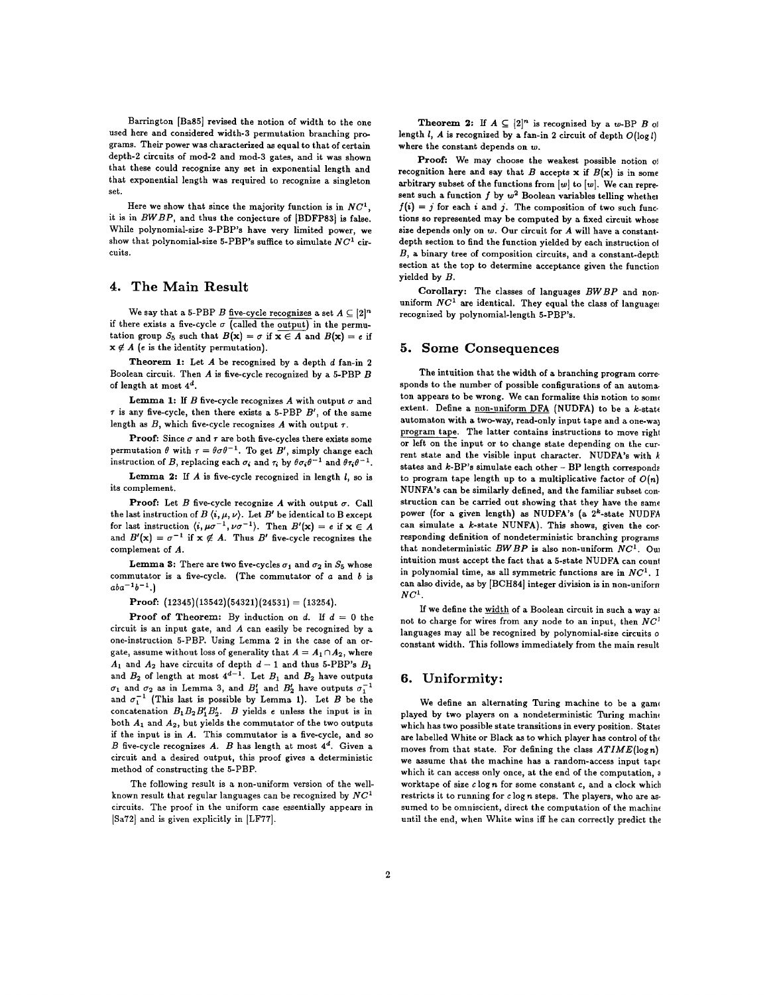Barrington [Ba85] revised the notion of width to the one used here and considered width-3 permutation branching programs. Their power was characterized as equal to that of certain depth-2 circuits of mod-2 and mod-3 gates, and it was shown that these could recognize any set in exponential length and that exponential length was required to recognize a singleton set.

Here we show that since the majority function is in  $NC<sup>1</sup>$ . it is in  $BWBP$ , and thus the conjecture of [BDFP83] is false. While polynomial-size 3-PBP's have very limited power, we show that polynomial-size 5-PBP's suffice to simulate  $NC^1$  circuits.

# **4. The Ma in Re s u lt**

We say that a 5-PBP B five-cycle recognizes a set  $A \subseteq [2]^n$ if there exists a five-cycle  $\sigma$  (called the output) in the permutation group  $S_5$  such that  $B(x) = \sigma$  if  $x \in A$  and  $B(x) = e$  if  $x \notin A$  (e is the identity permutation).

**Theorem 1:** Let  $A$  be recognized by a depth  $d$  fan-in 2 Boolean circuit. Then  $A$  is five-cycle recognized by a 5-PBP  $B$ of length at most  $4^d$ .

Lemma 1: If  $B$  five-cycle recognizes  $A$  with output  $\sigma$  and  $\tau$  is any five-cycle, then there exists a 5-PBP  $B'$ , of the same length as  $B$ , which five-cycle recognizes  $A$  with output  $\tau$ .

**Proof:** Since  $\sigma$  and  $\tau$  are both five-cycles there exists some permutation  $\theta$  with  $\tau = \theta \sigma \theta^{-1}$ . To get B', simply change each instruction of B, replacing each  $\sigma_i$  and  $\tau_i$  by  $\theta\sigma_i\theta^{-1}$  and  $\theta\tau_i\theta^{-1}$ .

**Lemma 2:** If  $A$  is five-cycle recognized in length  $l$ , so is its complement.

Proof: Let  $B$  five-cycle recognize  $A$  with output  $\sigma$ . Call the last instruction of  $B\langle i, \mu, \nu \rangle$ . Let  $B'$  be identical to B except for last instruction  $\langle i, \mu \sigma^{-1}, \nu \sigma^{-1} \rangle$ . Then  $B'(\mathbf{x}) = e$  if  $\mathbf{x} \in A$ and  $B'(\mathbf{x}) = \sigma^{-1}$  if  $\mathbf{x} \notin A$ . Thus  $B'$  five-cycle recognizes the complement of  $A$ .

**Lemma 3:** There are two five-cycles  $\sigma_1$  and  $\sigma_2$  in  $S_5$  whose commutator is a five-cycle. (The commutator of  $a$  and  $b$  is  $aba^{-1}b^{-1}$ .

Proof:  $(12345)(13542)(54321)(24531) = (13254).$ 

**Proof of Theorem:** By induction on d. If  $d = 0$  the circuit is an input gate, and  $A$  can easily be recognized by a one-instruction 5-PBP. Using Lemma 2 in the case of an orgate, assume without loss of generality that  $A = A_1 \cap A_2$ , where  $A_1$  and  $A_2$  have circuits of depth  $d-1$  and thus 5-PBP's  $B_1$ and  $B_2$  of length at most  $4^{d-1}$ . Let  $B_1$  and  $B_2$  have outputs  $\sigma_1$  and  $\sigma_2$  as in Lemma 3, and  $B'_1$  and  $B'_2$  have outputs  $\sigma_1^{-1}$ and  $\sigma_1^{-1}$  (This last is possible by Lemma 1). Let B be the concatenation  $B_1B_2B_1'B_2'$ . B yields e unless the input is in both  $A_1$  and  $A_2$ , but yields the commutator of the two outputs if the input is in  $A$ . This commutator is a five-cycle, and so  $B$  five-cycle recognizes  $A$ .  $B$  has length at most  $4^d$ . Given a circuit and a desired output, this proof gives a deterministic method of constructing the 5-PBP.

The following result is a non-uniform version of the wellknown result that regular languages can be recognized by  $NC^1$ circuits. The proof in the uniform case essentially appears in [Sa72] and is given explicitly in [LF77].

**Theorem 2:** If  $A \subseteq [2]^n$  is recognized by a w-BP B of length  $l$ ,  $A$  is recognized by a fan-in 2 circuit of depth  $O(\log l)$ where the constant depends on  $w$ .

Proof: We may choose the weakest possible notion of recognition here and say that B accepts x if  $B(x)$  is in some arbitrary subset of the functions from  $[w]$  to  $[w]$ . We can represent such a function  $f$  by  $w^2$  Boolean variables telling whether  $f(i) = j$  for each i and j. The composition of two such functions so represented may be computed by a fixed circuit whose size depends only on  $w$ . Our circuit for  $A$  will have a constantdepth section to find the function yielded by each instruction of  $B$ , a binary tree of composition circuits, and a constant-depth section at the top to determine acceptance given the function yielded by B.

Corollary: The classes of languages  $BWBP$  and nonuniform  $NC<sup>1</sup>$  are identical. They equal the class of languages recognized by polynomial-length 5-PBP's.

#### **5.** Some Consequences

The intuition that the width of a branching program corresponds to the number of possible configurations of an automaton appears to be wrong. We can formalize this notion to some extent. Define a non-uniform DFA (NUDFA) to be a k-state automaton with a two-way, read-only input tape and a one-way program tape. The latter contains instructions to move right or left on the input or to change state depending on the current state and the visible input character. NUDFA's with  $k$ states and  $k$ -BP's simulate each other - BP length corresponds to program tape length up to a multiplicative factor of  $O(n)$ NUNFA's can be similarly defined, and the familiar subset construction can be carried out showing that they have the same power (for a given length) as NUDFA's (a 2<sup>k</sup>-state NUDFA can simulate a  $k$ -state NUNFA). This shows, given the corresponding definition of nondeterministic branching programs that nondeterministic  $BWBP$  is also non-uniform  $NC^1$ . Oul intuition must accept the fact that a 5-state NUDFA can count in polynomial time, as all symmetric functions are in  $NC<sup>1</sup>$ . I c an also divide, as by [BCH84] integer division is in non-uniforn  $NC<sup>1</sup>$ .

If we define the width of a Boolean circuit in such a way as not to charge for wires from any node to an input, then  $NC<sup>1</sup>$ languages may all be recognized by polynomial-size circuits o constant width. This follows immediately from the main result

# **6. Unif o rmit y :**

We define an alternating Turing machine to be a game played by two players on a nondeterministic Turing machine which has two possible state transitions in every position. States are labelled White or Black as to which player has control of the moves from that state. For defining the class  $ATIME(log n)$ we assume that the machine has a random-access input tape which it can access only once, at the end of the computation, a worktape of size  $c \log n$  for some constant c, and a clock which restricts it to running for  $c \log n$  steps. The players, who are assumed to be omniscient, direct the computation of the machine until the end, when White wins iff he can correctly predict the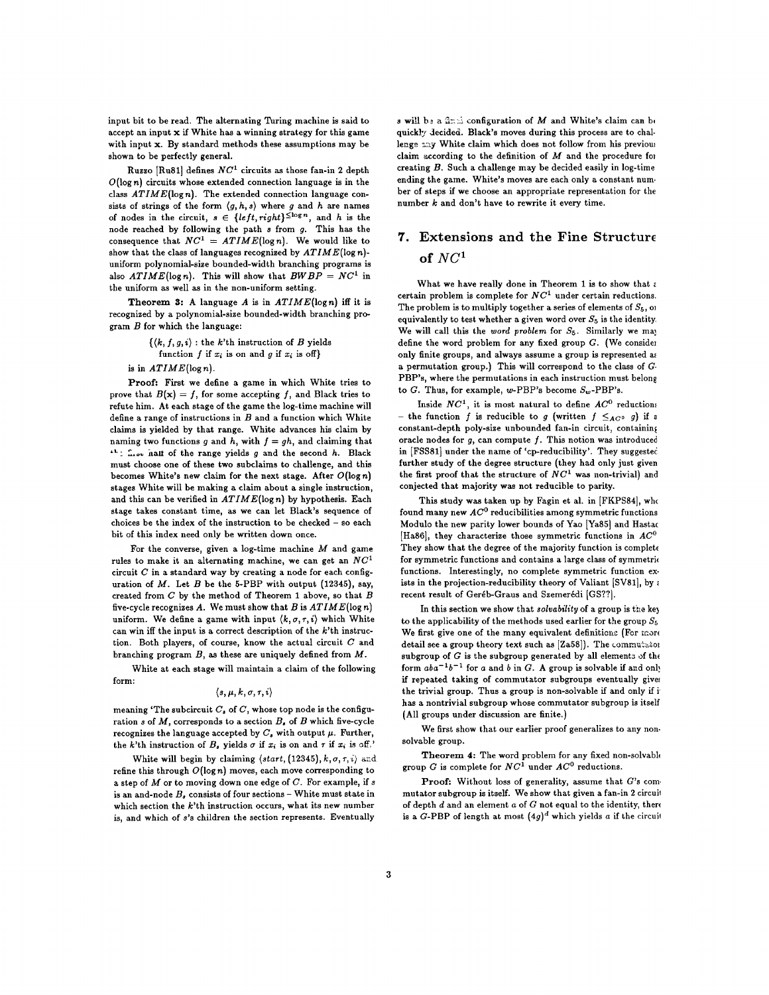input bit to be read. The alternating Turing machine is said to accept an input  $x$  if White has a winning strategy for this game with input  $x$ . By standard methods these assumptions may be shown to be perfectly general.

Ruzzo [Ru81] defines  $NC<sup>1</sup>$  circuits as those fan-in 2 depth  $O(\log n)$  circuits whose extended connection language is in the class  $ATIME(\log n)$ . The extended connection language consists of strings of the form  $\langle g, h, s \rangle$  where g and h are names of nodes in the circuit,  $s \in \{left, right\}^{\leq \log n}$ , and h is the node reached by following the path  $s$  from  $g$ . This has the consequence that  $NC^1 = ATIME(\log n)$ . We would like to show that the class of languages recognized by  $ATIME(\log n)$ uniform polynomial-size bounded-width branching programs is also  $ATIME(\log n)$ . This will show that  $BWBP = NC<sup>1</sup>$  in the uniform as well as in the non-uniform setting.

**Theorem 3:** A language A is in  $ATIME(\log n)$  iff it is recognized by a polynomial-size bounded-width branching program  $B$  for which the language:

> $\{\langle k, f, g, i \rangle :$  the k'th instruction of B yields function f if  $x_i$  is on and g if  $x_i$  is off}

is in  $ATIME(\log n)$ .

Proof: First we define a game in which White tries to prove that  $B(x) = f$ , for some accepting f, and Black tries to refute him. At each stage of the game the log-time machine will define a range of instructions in  $B$  and a function which White claims is yielded by that range. White advances his claim by naming two functions g and h, with  $f = gh$ , and claiming that  $L$ :  $\ldots$  hall of the range yields g and the second h. Black must choose one of these two subclaims to challenge, and this becomes White's new claim for the next stage. After  $O(\log n)$ stages White will be making a claim about a single instruction, and this can be verified in  $ATIME(\log n)$  by hypothesis. Each stage takes constant time, as we can let Black's sequence of choices be the index of the instruction to be checked - so each bit of this index need only be written down once.

For the converse, given a log-time machine  $M$  and game rules to make it an alternating machine, we can get an  $NC<sup>1</sup>$ circuit  $C$  in a standard way by creating a node for each configuration of  $M$ . Let  $B$  be the 5-PBP with output (12345), say, created from  $C$  by the method of Theorem 1 above, so that  $B$ five-cycle recognizes  $A$ . We must show that  $B$  is  $ATIME(\log n)$ uniform. We define a game with input  $\langle k, \sigma, \tau, i \rangle$  which White can win iff the input is a correct description of the  $k$ 'th instruction. Both players, of course, know the actual circuit  $C$  and branching program  $B$ , as these are uniquely defined from  $M$ .

White at each stage will maintain a claim of the following form:

#### $\langle s, \mu, k, \sigma, \tau, i \rangle$

meaning 'The subcircuit  $C<sub>s</sub>$  of C, whose top node is the configuration s of  $M$ , corresponds to a section  $B<sub>s</sub>$  of  $B$  which five-cycle recognizes the language accepted by  $C_s$  with output  $\mu$ . Further, the k'th instruction of  $B<sub>s</sub>$  yields  $\sigma$  if  $x<sub>i</sub>$  is on and  $\tau$  if  $x<sub>i</sub>$  is off.'

White will begin by claiming  $\langle start, (12345), k, \sigma, \tau, i \rangle$  and refine this through  $O(\log n)$  moves, each move corresponding to a step of  $M$  or to moving down one edge of  $C$ . For example, if  $s$ is an and-node  $B_s$  consists of four sections - White must state in which section the  $k$ 'th instruction occurs, what its new number is, and which of s's children the section represents. Eventually

s will be a  $2\pi$ . configuration of M and White's claim can b, quickly decided. Black's moves during this process are to challenge  $\sim$  White claim which does not follow from his previous claim according to the definition of  $M$  and the procedure for creating B. Such a challenge may be decided easily in log-time ending the game. White's moves are each only a constant num. bet of steps if we choose an appropriate representation for the number  $k$  and don't have to rewrite it every time.

# **7. Ex t e n si o n s and the Fine St ruc tur e**  $of NC<sup>1</sup>$

What we have really done in Theorem 1 is to show that  $\varepsilon$ certain problem is complete for  $NC<sup>1</sup>$  under certain reductions. The problem is to multiply together a series of elements of  $S_5$ , or equivalently to test whether a given word over  $S_5$  is the identity. We will call this the *word problem* for  $S_5$ . Similarly we may define the word problem for any fixed group  $G$ . (We consider only finite groups, and always assume a group is represented as a permutation group.) This will correspond to the class of  $G$ PBP's, where the permutations in each instruction must belong to G. Thus, for example, w-PBP's become  $S_w$ -PBP's.

Inside  $NC^1$ , it is most natural to define  $AC^0$  reductions - the function f is reducible to g (written  $f \leq_{AC^0} g$ ) if a constant-depth poly-size unbounded fan-in circuit, containing oracle nodes for  $g$ , can compute  $f$ . This notion was introduced in [FSS81] under the name of 'cp-reducibility'. They suggested further study of the degree structure (they had only just given the first proof that the structure of  $NC<sup>1</sup>$  was non-trivial) and conjected that majority was not reducible to parity.

This study was taken up by Fagin et al. in [FKPS84], who found many new  $AC^0$  reducibilities among symmetric functions Modulo the new parity lower bounds of Yao [Ya85] and Hasta( [Ha86], they characterize those symmetric functions in  $AC^0$ They show that the degree of the majority function is complete for symmetric functions and contains a large class of symmetric functions. Interestingly, no complete symmetric function exists in the projection-reducibility theory of Valiant [SV81], by  $\epsilon$ recent result of Geréb-Graus and Szemerédi [GS??].

In this section we show that *solvability* of a group is the key to the applicability of the methods used earlier for the group  $S_5$ We first give one of the many equivalent definitions (For more detail see a group theory text such as  $[Za58]$ ). The commutator subgroup of  $G$  is the subgroup generated by all elements of the form  $aba^{-1}b^{-1}$  for a and b in G. A group is solvable if and only if repeated taking of commutator subgroups eventually give: the trivial group. Thus a group is non-solvable if and only if i has a nontrivial subgroup whose commutator subgroup is itself {All groups under discussion are finite.}

We first show that our earlier proof generalizes to any nonsolvable group.

Theorem 4: The word problem for any fixed non-solvable group G is complete for  $NC<sup>1</sup>$  under  $AC<sup>0</sup>$  reductions.

Proof: Without loss of generality, assume that  $G$ 's commutator subgroup is itself. We show that given a fan-in 2 circuit of depth  $d$  and an element  $a$  of  $G$  not equal to the identity, there is a G-PBP of length at most  $(4g)^d$  which yields a if the circuit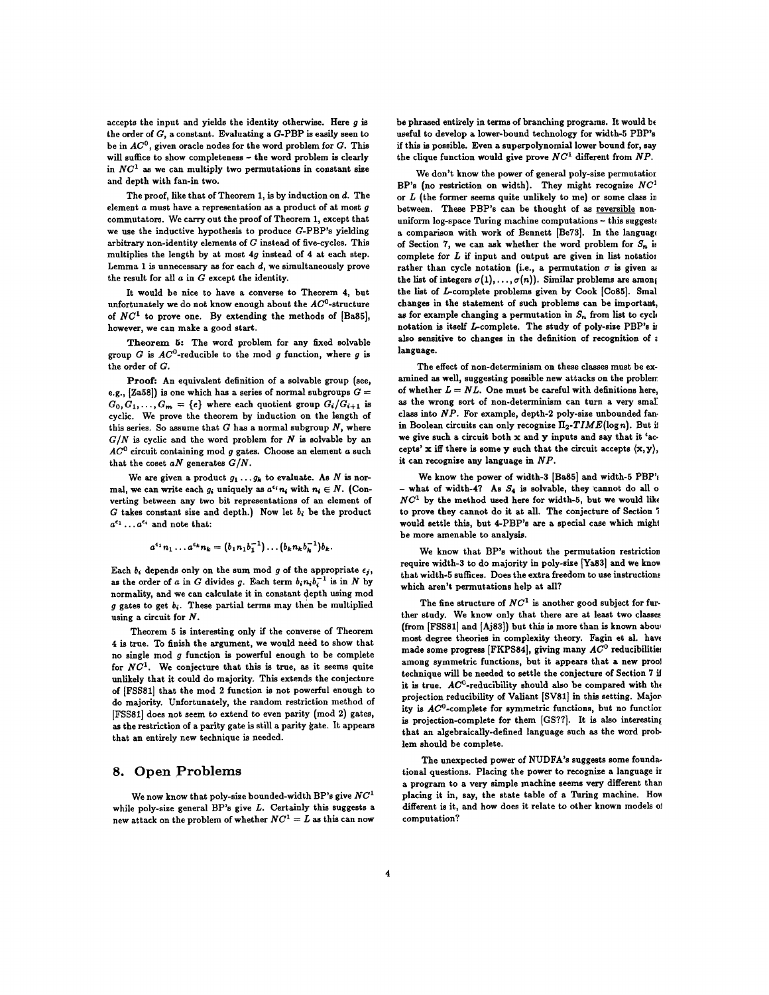accepts the input and yields the identity otherwise. Here  $g$  is the order of **G, <sup>a</sup>**constant. Evaluating a G-PBP is easily seen to be in  $AC^0$ , given oracle nodes for the word problem for  $G$ . This will suffice to show completeness - the word problem is clearly in  $NC<sup>1</sup>$  as we can multiply two permutations in constant size and depth with fan-in two.

The proof, like that of Theorem 1, is by induction on d. The element  $a$  must have a representation as a product of at most  $g$ commutators. We carry out the proof of Theorem 1, except that we use the inductive hypothesis to produce G-PBP's yielding arbitrary non-identity elements of  $G$  instead of five-cycles. This multiplies the length by at most 4g instead of 4 at each step. Lemma 1 is unnecessary as for each  $d$ , we simultaneously prove the result for all  $a$  in  $G$  except the identity.

It would be nice to have a converse to Theorem 4, but unfortunately we do not know enough about the  $AC^0$ -structure of  $NC<sup>1</sup>$  to prove one. By extending the methods of  $[Ba85]$ , however, we can make a good start.

Theorem 5: The word problem for any fixed solvable group G is  $AC^0$ -reducible to the mod g function, where g is the order of G.

Proof: An equivalent definition of a solvable group (see, e.g.,  $[Za58]$ ) is one which has a series of normal subgroups  $G =$  $G_0, G_1, \ldots, G_m = \{e\}$  where each quotient group  $G_i/G_{i+1}$  is cyclic. We prove the theorem by induction on the length of this series. So assume that  $G$  has a normal subgroup  $N$ , where *G/N is* cyclic and the word problem for N is solvable by an  $AC<sup>0</sup>$  circuit containing mod g gates. Choose an element a such that the coset  $aN$  generates  $G/N$ .

We are given a product  $g_1 \ldots g_k$  to evaluate. As N is normal, we can write each  $g_i$  uniquely as  $a^{\epsilon_i} n_i$  with  $n_i \in N$ . (Converting between any two bit representations of an element of G takes constant size and depth.) Now let  $b_i$  be the product  $a^{\epsilon_1} \dots a^{\epsilon_i}$  and note that:

$$
a^{\epsilon_1} n_1 \dots a^{\epsilon_k} n_k = (b_1 n_1 b_1^{-1}) \dots (b_k n_k b_k^{-1}) b_k
$$

Each  $b_i$  depends only on the sum mod g of the appropriate  $\epsilon_j$ , as the order of a in G divides g. Each term  $b_i n_i b_i^{-1}$  is in N by normality, and we can calculate it in constant depth using mod  $g$  gates to get  $b_i$ . These partial terms may then be multiplied using a circuit for N.

Theorem 5 is interesting only if the converse of Theorem 4 is true. To finish the argument, we would need to show that no single mod  $g$  function is powerful enough to be complete for  $NC<sup>1</sup>$ . We conjecture that this is true, as it seems quite unlikely that it could do majority. This extends the conjecture of [FSSS1] that the rood 2 function is not powerful enough to do majority. Unfortunately, the random restriction method of [FSS81] does not seem to extend to even parity (mod 2) gates, as the restriction of a parity gate is still a parity gate. It appears that an entirely new technique is needed.

# **8.** Open Problems

We now know that poly-size bounded-width BP's give  $NC^1$ while poly-size general BP's give L. Certainly this suggests a new attack on the problem of whether  $NC^1 = L$  as this can now

be phrased entirely in terms of branching programs. It would be useful to develop a lower-bound technology for width-5 PBP's if this is possible. Even a superpolynomial lower bound for, say the clique function would give prove  $NC<sup>1</sup>$  different from  $NP$ .

We don't know the power of general poly-size permutatior BP's (no restriction on width). They might recognize  $NC<sup>1</sup>$ or  $L$  (the former seems quite unlikely to me) or some class in between. These PBP's can be thought of as reversible nonuniform  $log$ -space Turing machine computations  $-$  this suggests a comparison with work of Bennett [Be73]. In the language of Section 7, we can ask whether the word problem for  $S_n$  is complete for  $L$  if input and output are given in list notation rather than cycle notation (i.e., a permutation  $\sigma$  is given as the list of integers  $\sigma(1), \ldots, \sigma(n)$ . Similar problems are among the list of L-complete problems given by Cook [Co85]. Smal changes in the statement of such problems can be important. as for example changing a permutation in  $S_n$  from list to cycle notation is itself  $L$ -complete. The study of poly-size PBP's is also sensitive to changes in the definition of recognition of a language.

The effect of non-determinism on these classes must be examined as well, suggesting possible new attacks on the problem of whether  $L = NL$ . One must be careful with definitions here, as the wrong sort of non-determinism can turn a very small class into *NP.* For example, depth-2 poly-sise unbounded fan. in Boolean circuits can only recognize  $\Pi_2$ -TIME(logn). But if we give such a circuit both x and y inputs and say that it 'accepts' x iff there is some y such that the circuit accepts  $(x, y)$ , it can recognize any language in *NP.*

We know the power of width-3 [Ba85] and width-5  $PBP$ '  $-$  what of width-4? As  $S_4$  is solvable, they cannot do all o  $NC<sup>1</sup>$  by the method used here for width-5, but we would like to prove they cannot do it at all. The conjecture of Section 7 would settle this, but 4-PBP's are a special case which might be more amenable to analysis.

We know that BP's without the permutation restriction require width-3 to do majority in poly-size [Ya83] and we knov that width-5 suffices. Does the extra freedom to use instructions which aren't permutations help at all?

The fine structure of  $NC^1$  is another good subject for further study. We know only that there are at least two classes (from [FSS81] and [Aj83]) but this is more than is known abow most degree theories in complexity theory. Fagin et al. have made some progress [FKPS84], giving many  $AC^0$  reducibilities among symmetric functions, but it appears that a new proof technique will be needed to settle the conjecture of Section 7 it it is true. AC°-reducibility should also be compared with the projection reducibility of Valiant [SVS1] in this setting. Major. ity is  $AC^0$ -complete for symmetric functions, but no function is projection-complete for them [GS??]. It is also interesting that an algebraically-defined language such as the word problem should be complete.

The unexpected power of NUDFA's suggests some foundational questions. Placing the power to recognize a language ix a program to a very simple machine seems very different than placing it in, say, the state table of a Taring machine. Hov different is it, and how does it relate to other known models of computation?